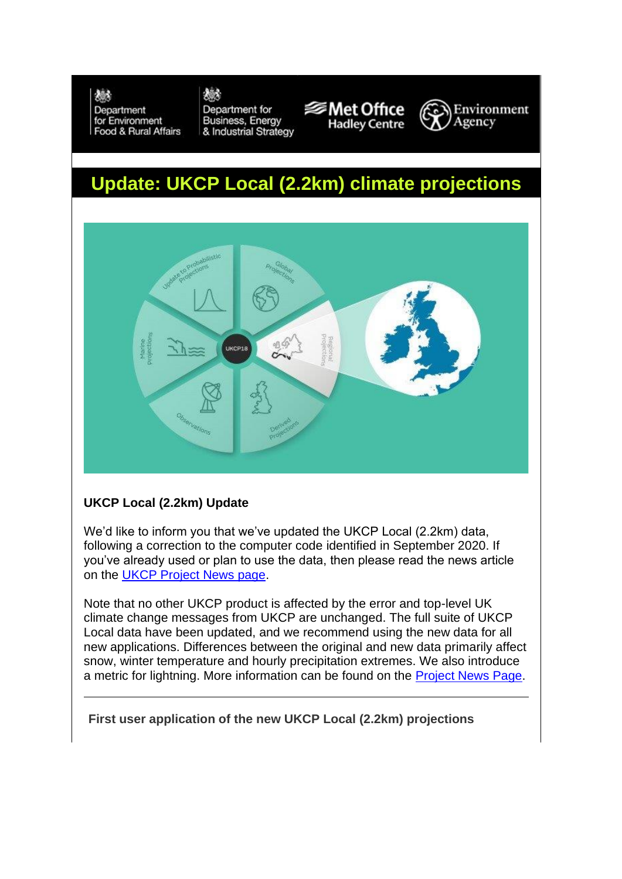機

Department for Environment Food & Rural Affairs

## 機

Department for **Business, Energy** & Industrial Strategy





## **Update: UKCP Local (2.2km) climate projections**



## **UKCP Local (2.2km) Update**

We'd like to inform you that we've updated the UKCP Local (2.2km) data, following a correction to the computer code identified in September 2020. If you've already used or plan to use the data, then please read the news article on the [UKCP Project News page.](https://info.metoffice.gov.uk/t/1XRP-7GRM6-603J38-4IFBK4-1/c.aspx)

Note that no other UKCP product is affected by the error and top-level UK climate change messages from UKCP are unchanged. The full suite of UKCP Local data have been updated, and we recommend using the new data for all new applications. Differences between the original and new data primarily affect snow, winter temperature and hourly precipitation extremes. We also introduce a metric for lightning. More information can be found on the [Project News Page.](https://info.metoffice.gov.uk/t/1XRP-7GRM6-603J38-4IFBK4-1/c.aspx)

**First user application of the new UKCP Local (2.2km) projections**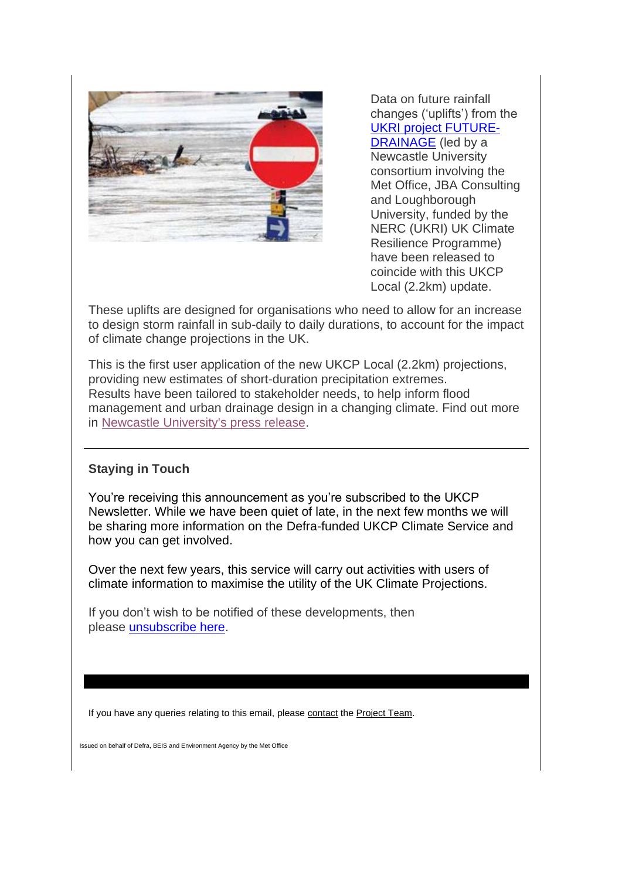

Data on future rainfall changes ('uplifts') from the [UKRI project FUTURE-](https://info.metoffice.gov.uk/t/1XRP-7GRM6-603J38-4IFBK5-1/c.aspx)[DRAINAGE](https://info.metoffice.gov.uk/t/1XRP-7GRM6-603J38-4IFBK5-1/c.aspx) (led by a Newcastle University consortium involving the Met Office, JBA Consulting and Loughborough University, funded by the NERC (UKRI) UK Climate Resilience Programme) have been released to coincide with this UKCP Local (2.2km) update.

These uplifts are designed for organisations who need to allow for an increase to design storm rainfall in sub-daily to daily durations, to account for the impact of climate change projections in the UK.

This is the first user application of the new UKCP Local (2.2km) projections, providing new estimates of short-duration precipitation extremes. Results have been tailored to stakeholder needs, to help inform flood management and urban drainage design in a changing climate. Find out more in [Newcastle University's press release.](https://info.metoffice.gov.uk/t/1XRP-7GRM6-603J38-4IFBK5-1/c.aspx)

## **Staying in Touch**

You're receiving this announcement as you're subscribed to the UKCP Newsletter. While we have been quiet of late, in the next few months we will be sharing more information on the Defra-funded UKCP Climate Service and how you can get involved.

Over the next few years, this service will carry out activities with users of climate information to maximise the utility of the UK Climate Projections.

If you don't wish to be notified of these developments, then please **unsubscribe** here.

If you have any queries relating to this email, please [contact](mailto:ukcpproject@metoffice.gov.uk?subject=Query%20from%20October%20newsletter) the [Project Team.](mailto:ukcpproject@metoffice.gov.uk?subject=Feedback%20-%20UKCP%20Local%20update%20July%202021)

Issued on behalf of Defra, BEIS and Environment Agency by the Met Office